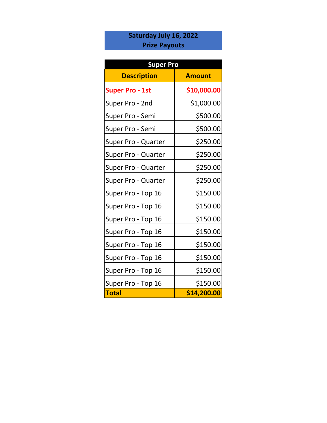# **Saturday July 16, 2022 Prize Payouts**

| <b>Super Pro</b>       |               |  |
|------------------------|---------------|--|
| <b>Description</b>     | <b>Amount</b> |  |
| <b>Super Pro - 1st</b> | \$10,000.00   |  |
| Super Pro - 2nd        | \$1,000.00    |  |
| Super Pro - Semi       | \$500.00      |  |
| Super Pro - Semi       | \$500.00      |  |
| Super Pro - Quarter    | \$250.00      |  |
| Super Pro - Quarter    | \$250.00      |  |
| Super Pro - Quarter    | \$250.00      |  |
| Super Pro - Quarter    | \$250.00      |  |
| Super Pro - Top 16     | \$150.00      |  |
| Super Pro - Top 16     | \$150.00      |  |
| Super Pro - Top 16     | \$150.00      |  |
| Super Pro - Top 16     | \$150.00      |  |
| Super Pro - Top 16     | \$150.00      |  |
| Super Pro - Top 16     | \$150.00      |  |
| Super Pro - Top 16     | \$150.00      |  |
| Super Pro - Top 16     | \$150.00      |  |
| <b>Total</b>           | \$14,200.00   |  |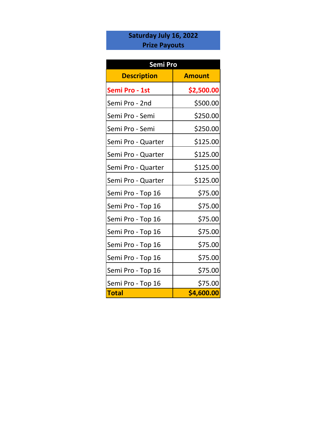# **Saturday July 16, 2022 Prize Payouts**

| Semi Pro           |               |  |
|--------------------|---------------|--|
| <b>Description</b> | <b>Amount</b> |  |
| Semi Pro - 1st     | \$2,500.00    |  |
| Semi Pro - 2nd     | \$500.00      |  |
| Semi Pro - Semi    | \$250.00      |  |
| Semi Pro - Semi    | \$250.00      |  |
| Semi Pro - Quarter | \$125.00      |  |
| Semi Pro - Quarter | \$125.00      |  |
| Semi Pro - Quarter | \$125.00      |  |
| Semi Pro - Quarter | \$125.00      |  |
| Semi Pro - Top 16  | \$75.00       |  |
| Semi Pro - Top 16  | \$75.00       |  |
| Semi Pro - Top 16  | \$75.00       |  |
| Semi Pro - Top 16  | \$75.00       |  |
| Semi Pro - Top 16  | \$75.00       |  |
| Semi Pro - Top 16  | \$75.00       |  |
| Semi Pro - Top 16  | \$75.00       |  |
| Semi Pro - Top 16  | \$75.00       |  |
| <b>Total</b>       | \$4,600.00    |  |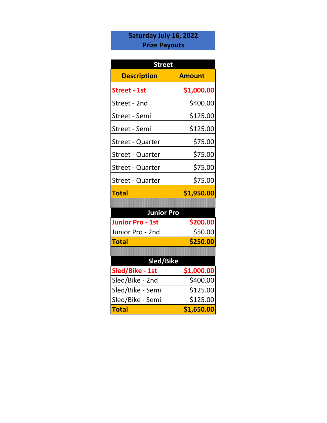# **Saturday July 16, 2022 Prize Payouts**

| <b>Street</b>           |               |  |
|-------------------------|---------------|--|
| <b>Description</b>      | <b>Amount</b> |  |
| <b>Street - 1st</b>     | \$1,000.00    |  |
| Street - 2nd            | \$400.00      |  |
| Street - Semi           | \$125.00      |  |
| <b>Street - Semi</b>    | \$125.00      |  |
| Street - Quarter        | \$75.00       |  |
| <b>Street - Quarter</b> | \$75.00       |  |
| <b>Street - Quarter</b> | \$75.00       |  |
| <b>Street - Quarter</b> | \$75.00       |  |
| <b>Total</b>            | \$1,950.00    |  |
|                         |               |  |
| <b>Junior Pro</b>       |               |  |
| <b>Junior Pro - 1st</b> | \$200.00      |  |
| Junior Pro - 2nd        | \$50.00       |  |
| <b>Total</b>            | \$250.00      |  |
|                         |               |  |
| Sled/Bike               |               |  |
| Sled/Bike - 1st         | \$1,000.00    |  |
|                         |               |  |
| Sled/Bike - 2nd         | \$400.00      |  |
| Sled/Bike - Semi        | \$125.00      |  |
| Sled/Bike - Semi        | \$125.00      |  |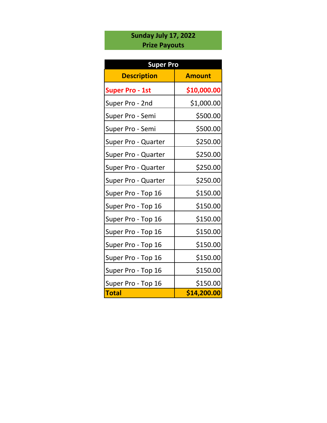# **Sunday July 17, 2022 Prize Payouts**

| <b>Super Pro</b>       |               |  |
|------------------------|---------------|--|
| <b>Description</b>     | <b>Amount</b> |  |
| <b>Super Pro - 1st</b> | \$10,000.00   |  |
| Super Pro - 2nd        | \$1,000.00    |  |
| Super Pro - Semi       | \$500.00      |  |
| Super Pro - Semi       | \$500.00      |  |
| Super Pro - Quarter    | \$250.00      |  |
| Super Pro - Quarter    | \$250.00      |  |
| Super Pro - Quarter    | \$250.00      |  |
| Super Pro - Quarter    | \$250.00      |  |
| Super Pro - Top 16     | \$150.00      |  |
| Super Pro - Top 16     | \$150.00      |  |
| Super Pro - Top 16     | \$150.00      |  |
| Super Pro - Top 16     | \$150.00      |  |
| Super Pro - Top 16     | \$150.00      |  |
| Super Pro - Top 16     | \$150.00      |  |
| Super Pro - Top 16     | \$150.00      |  |
| Super Pro - Top 16     | \$150.00      |  |
| <b>Total</b>           | \$14,200.00   |  |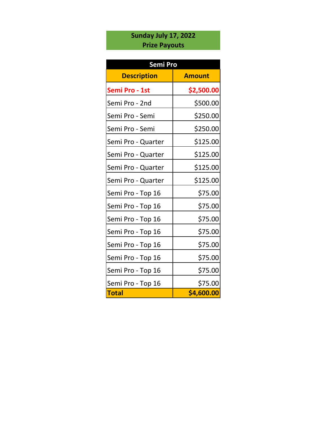## **Sunday July 17, 2022 Prize Payouts**

| <b>Semi Pro</b>    |               |  |
|--------------------|---------------|--|
| <b>Description</b> | <b>Amount</b> |  |
| Semi Pro - 1st     | \$2,500.00    |  |
| Semi Pro - 2nd     | \$500.00      |  |
| Semi Pro - Semi    | \$250.00      |  |
| Semi Pro - Semi    | \$250.00      |  |
| Semi Pro - Quarter | \$125.00      |  |
| Semi Pro - Quarter | \$125.00      |  |
| Semi Pro - Quarter | \$125.00      |  |
| Semi Pro - Quarter | \$125.00      |  |
| Semi Pro - Top 16  | \$75.00       |  |
| Semi Pro - Top 16  | \$75.00       |  |
| Semi Pro - Top 16  | \$75.00       |  |
| Semi Pro - Top 16  | \$75.00       |  |
| Semi Pro - Top 16  | \$75.00       |  |
| Semi Pro - Top 16  | \$75.00       |  |
| Semi Pro - Top 16  | \$75.00       |  |
| Semi Pro - Top 16  | \$75.00       |  |
| <b>Total</b>       | \$4,600.00    |  |